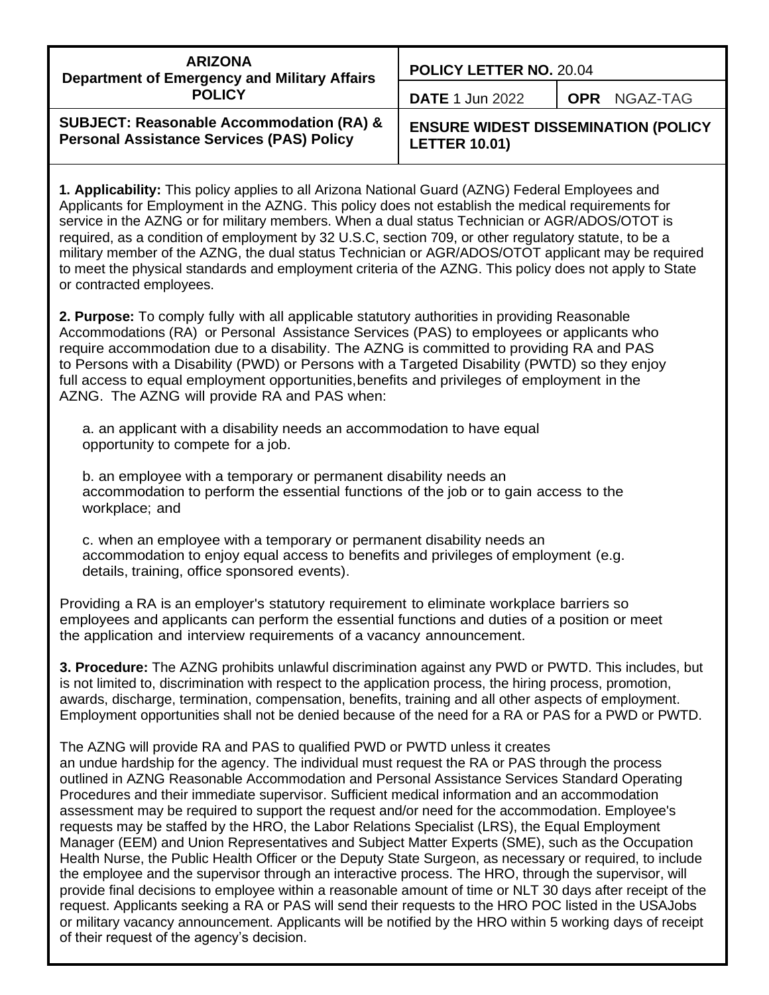| <b>ARIZONA</b><br><b>Department of Emergency and Military Affairs</b><br><b>POLICY</b>                  | <b>POLICY LETTER NO. 20.04</b>                                     |              |
|---------------------------------------------------------------------------------------------------------|--------------------------------------------------------------------|--------------|
|                                                                                                         | <b>DATE 1 Jun 2022</b>                                             | OPR NGAZ-TAG |
| <b>SUBJECT: Reasonable Accommodation (RA) &amp;</b><br><b>Personal Assistance Services (PAS) Policy</b> | <b>ENSURE WIDEST DISSEMINATION (POLICY</b><br><b>LETTER 10.01)</b> |              |

**1. Applicability:** This policy applies to all Arizona National Guard (AZNG) Federal Employees and Applicants for Employment in the AZNG. This policy does not establish the medical requirements for service in the AZNG or for military members. When a dual status Technician or AGR/ADOS/OTOT is required, as a condition of employment by 32 U.S.C, section 709, or other regulatory statute, to be a military member of the AZNG, the dual status Technician or AGR/ADOS/OTOT applicant may be required to meet the physical standards and employment criteria of the AZNG. This policy does not apply to State or contracted employees.

**2. Purpose:** To comply fully with all applicable statutory authorities in providing Reasonable Accommodations (RA) or Personal Assistance Services (PAS) to employees or applicants who require accommodation due to a disability. The AZNG is committed to providing RA and PAS to Persons with a Disability (PWD) or Persons with a Targeted Disability (PWTD) so they enjoy full access to equal employment opportunities,benefits and privileges of employment in the AZNG. The AZNG will provide RA and PAS when:

a. an applicant with a disability needs an accommodation to have equal opportunity to compete for a job.

b. an employee with a temporary or permanent disability needs an accommodation to perform the essential functions of the job or to gain access to the workplace; and

c. when an employee with a temporary or permanent disability needs an accommodation to enjoy equal access to benefits and privileges of employment (e.g. details, training, office sponsored events).

Providing a RA is an employer's statutory requirement to eliminate workplace barriers so employees and applicants can perform the essential functions and duties of a position or meet the application and interview requirements of a vacancy announcement.

**3. Procedure:** The AZNG prohibits unlawful discrimination against any PWD or PWTD. This includes, but is not limited to, discrimination with respect to the application process, the hiring process, promotion, awards, discharge, termination, compensation, benefits, training and all other aspects of employment. Employment opportunities shall not be denied because of the need for a RA or PAS for a PWD or PWTD.

#### The AZNG will provide RA and PAS to qualified PWD or PWTD unless it creates

an undue hardship for the agency. The individual must request the RA or PAS through the process outlined in AZNG Reasonable Accommodation and Personal Assistance Services Standard Operating Procedures and their immediate supervisor. Sufficient medical information and an accommodation assessment may be required to support the request and/or need for the accommodation. Employee's requests may be staffed by the HRO, the Labor Relations Specialist (LRS), the Equal Employment Manager (EEM) and Union Representatives and Subject Matter Experts (SME), such as the Occupation Health Nurse, the Public Health Officer or the Deputy State Surgeon, as necessary or required, to include the employee and the supervisor through an interactive process. The HRO, through the supervisor, will provide final decisions to employee within a reasonable amount of time or NLT 30 days after receipt of the request. Applicants seeking a RA or PAS will send their requests to the HRO POC listed in the USAJobs or military vacancy announcement. Applicants will be notified by the HRO within 5 working days of receipt of their request of the agency's decision.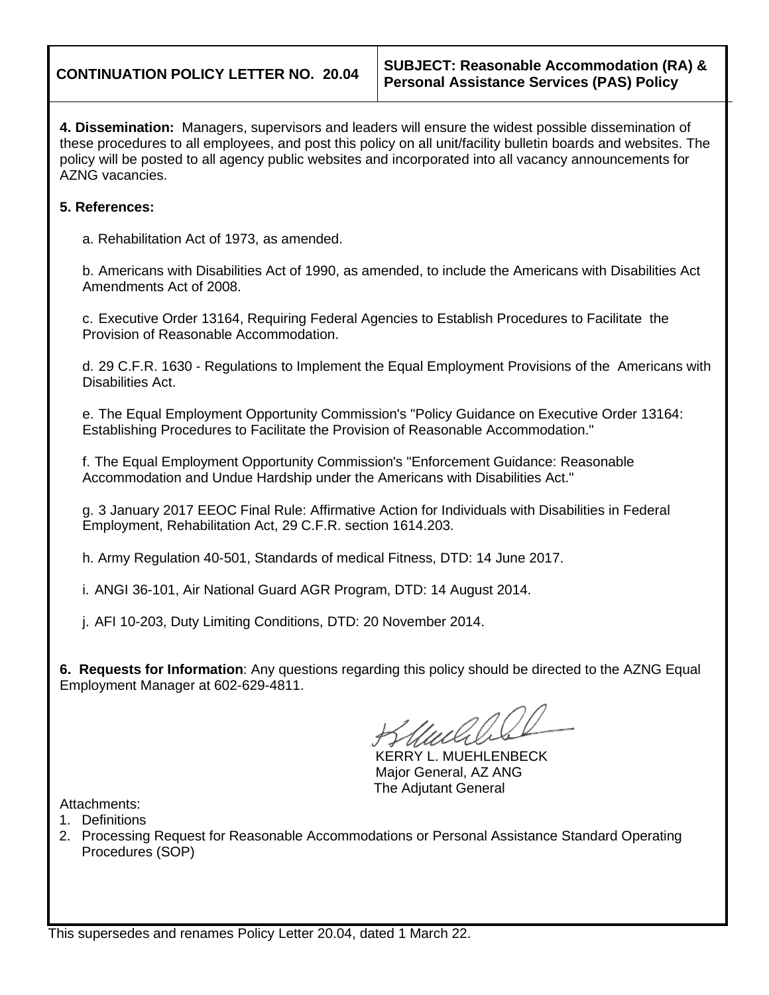**4. Dissemination:** Managers, supervisors and leaders will ensure the widest possible dissemination of these procedures to all employees, and post this policy on all unit/facility bulletin boards and websites. The policy will be posted to all agency public websites and incorporated into all vacancy announcements for AZNG vacancies.

## **5. References:**

a. Rehabilitation Act of 1973, as amended.

b. Americans with Disabilities Act of 1990, as amended, to include the Americans with Disabilities Act Amendments Act of 2008.

c. Executive Order 13164, Requiring Federal Agencies to Establish Procedures to Facilitate the Provision of Reasonable Accommodation.

d. 29 C.F.R. 1630 - Regulations to Implement the Equal Employment Provisions of the Americans with Disabilities Act.

e. The Equal Employment Opportunity Commission's "Policy Guidance on Executive Order 13164: Establishing Procedures to Facilitate the Provision of Reasonable Accommodation."

f. The Equal Employment Opportunity Commission's "Enforcement Guidance: Reasonable Accommodation and Undue Hardship under the Americans with Disabilities Act."

g. 3 January 2017 EEOC Final Rule: Affirmative Action for Individuals with Disabilities in Federal Employment, Rehabilitation Act, 29 C.F.R. section 1614.203.

h. Army Regulation 40-501, Standards of medical Fitness, DTD: 14 June 2017.

i. ANGI 36-101, Air National Guard AGR Program, DTD: 14 August 2014.

j. AFI 10-203, Duty Limiting Conditions, DTD: 20 November 2014.

**6. Requests for Information**: Any questions regarding this policy should be directed to the AZNG Equal Employment Manager at 602-629-4811.

KERRY L. MUEHLENBECK Major General, AZ ANG The Adjutant General

Attachments:

- 1. Definitions
- 2. Processing Request for Reasonable Accommodations or Personal Assistance Standard Operating Procedures (SOP)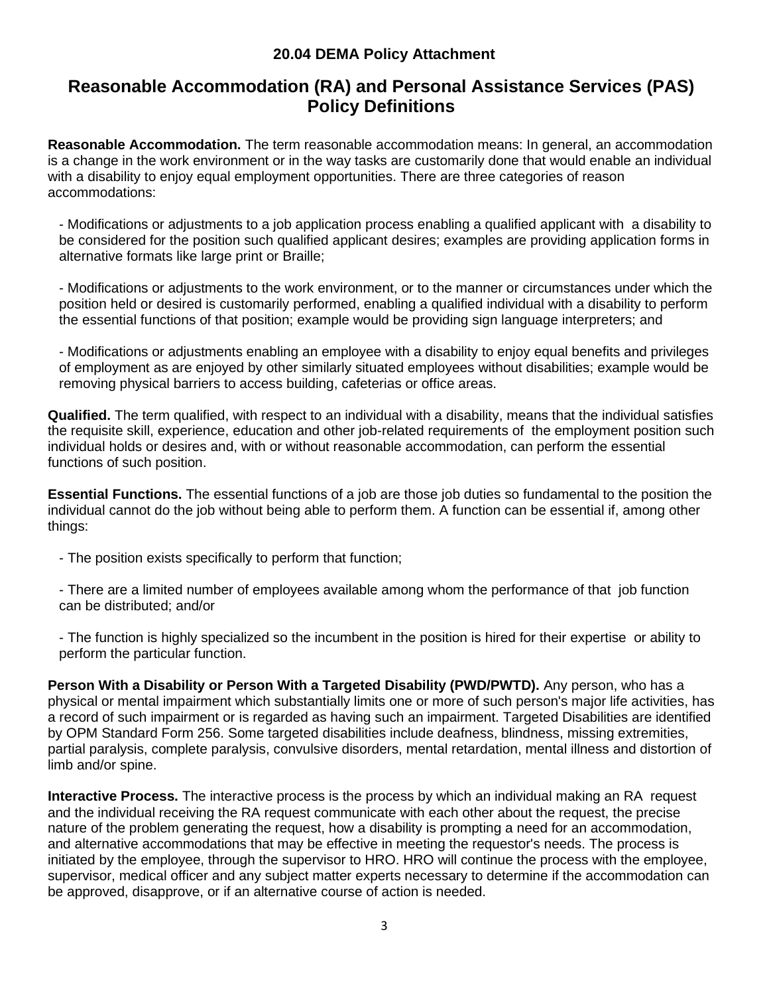## **20.04 DEMA Policy Attachment**

## **Reasonable Accommodation (RA) and Personal Assistance Services (PAS) Policy Definitions**

**Reasonable Accommodation.** The term reasonable accommodation means: In general, an accommodation is a change in the work environment or in the way tasks are customarily done that would enable an individual with a disability to enjoy equal employment opportunities. There are three categories of reason accommodations:

- Modifications or adjustments to a job application process enabling a qualified applicant with a disability to be considered for the position such qualified applicant desires; examples are providing application forms in alternative formats like large print or Braille;

- Modifications or adjustments to the work environment, or to the manner or circumstances under which the position held or desired is customarily performed, enabling a qualified individual with a disability to perform the essential functions of that position; example would be providing sign language interpreters; and

- Modifications or adjustments enabling an employee with a disability to enjoy equal benefits and privileges of employment as are enjoyed by other similarly situated employees without disabilities; example would be removing physical barriers to access building, cafeterias or office areas.

**Qualified.** The term qualified, with respect to an individual with a disability, means that the individual satisfies the requisite skill, experience, education and other job-related requirements of the employment position such individual holds or desires and, with or without reasonable accommodation, can perform the essential functions of such position.

**Essential Functions.** The essential functions of a job are those job duties so fundamental to the position the individual cannot do the job without being able to perform them. A function can be essential if, among other things:

- The position exists specifically to perform that function;
- There are a limited number of employees available among whom the performance of that job function can be distributed; and/or

- The function is highly specialized so the incumbent in the position is hired for their expertise or ability to perform the particular function.

**Person With a Disability or Person With a Targeted Disability (PWD/PWTD).** Any person, who has a physical or mental impairment which substantially limits one or more of such person's major life activities, has a record of such impairment or is regarded as having such an impairment. Targeted Disabilities are identified by OPM Standard Form 256. Some targeted disabilities include deafness, blindness, missing extremities, partial paralysis, complete paralysis, convulsive disorders, mental retardation, mental illness and distortion of limb and/or spine.

**Interactive Process.** The interactive process is the process by which an individual making an RA request and the individual receiving the RA request communicate with each other about the request, the precise nature of the problem generating the request, how a disability is prompting a need for an accommodation, and alternative accommodations that may be effective in meeting the requestor's needs. The process is initiated by the employee, through the supervisor to HRO. HRO will continue the process with the employee, supervisor, medical officer and any subject matter experts necessary to determine if the accommodation can be approved, disapprove, or if an alternative course of action is needed.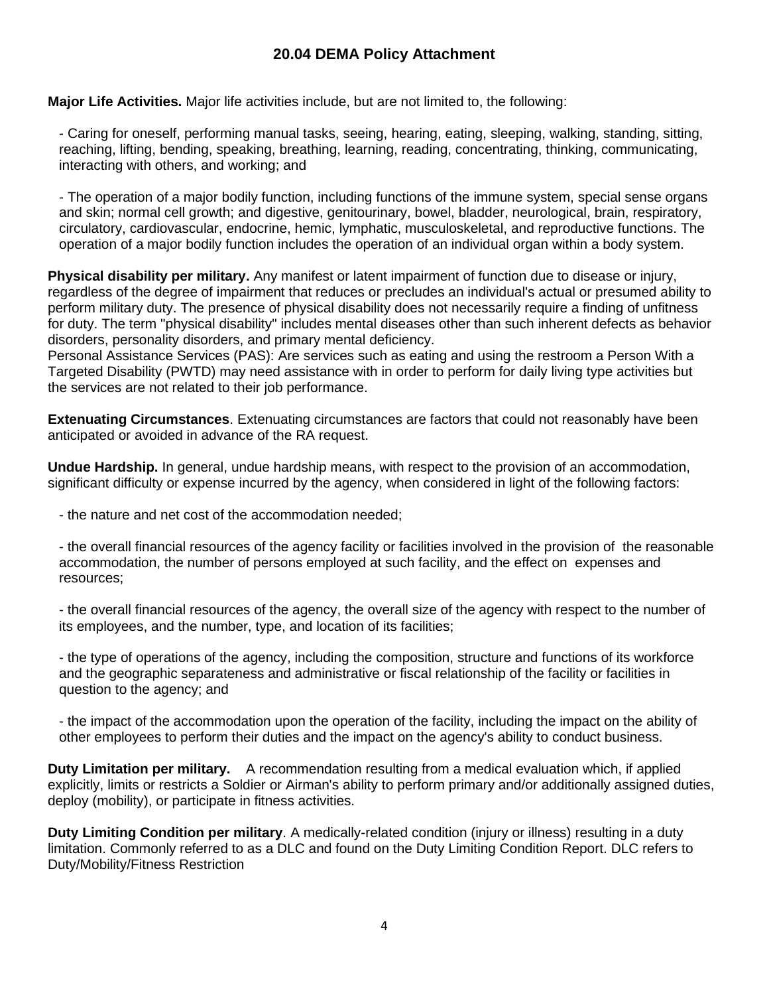## **20.04 DEMA Policy Attachment**

**Major Life Activities.** Major life activities include, but are not limited to, the following:

- Caring for oneself, performing manual tasks, seeing, hearing, eating, sleeping, walking, standing, sitting, reaching, lifting, bending, speaking, breathing, learning, reading, concentrating, thinking, communicating, interacting with others, and working; and

- The operation of a major bodily function, including functions of the immune system, special sense organs and skin; normal cell growth; and digestive, genitourinary, bowel, bladder, neurological, brain, respiratory, circulatory, cardiovascular, endocrine, hemic, lymphatic, musculoskeletal, and reproductive functions. The operation of a major bodily function includes the operation of an individual organ within a body system.

**Physical disability per military.** Any manifest or latent impairment of function due to disease or injury, regardless of the degree of impairment that reduces or precludes an individual's actual or presumed ability to perform military duty. The presence of physical disability does not necessarily require a finding of unfitness for duty. The term "physical disability" includes mental diseases other than such inherent defects as behavior disorders, personality disorders, and primary mental deficiency.

Personal Assistance Services (PAS): Are services such as eating and using the restroom a Person With a Targeted Disability (PWTD) may need assistance with in order to perform for daily living type activities but the services are not related to their job performance.

**Extenuating Circumstances**. Extenuating circumstances are factors that could not reasonably have been anticipated or avoided in advance of the RA request.

**Undue Hardship.** In general, undue hardship means, with respect to the provision of an accommodation, significant difficulty or expense incurred by the agency, when considered in light of the following factors:

- the nature and net cost of the accommodation needed;

- the overall financial resources of the agency facility or facilities involved in the provision of the reasonable accommodation, the number of persons employed at such facility, and the effect on expenses and resources;

- the overall financial resources of the agency, the overall size of the agency with respect to the number of its employees, and the number, type, and location of its facilities;

- the type of operations of the agency, including the composition, structure and functions of its workforce and the geographic separateness and administrative or fiscal relationship of the facility or facilities in question to the agency; and

- the impact of the accommodation upon the operation of the facility, including the impact on the ability of other employees to perform their duties and the impact on the agency's ability to conduct business.

**Duty Limitation per military.** A recommendation resulting from a medical evaluation which, if applied explicitly, limits or restricts a Soldier or Airman's ability to perform primary and/or additionally assigned duties, deploy (mobility), or participate in fitness activities.

**Duty Limiting Condition per military**. A medically-related condition (injury or illness) resulting in a duty limitation. Commonly referred to as a DLC and found on the Duty Limiting Condition Report. DLC refers to Duty/Mobility/Fitness Restriction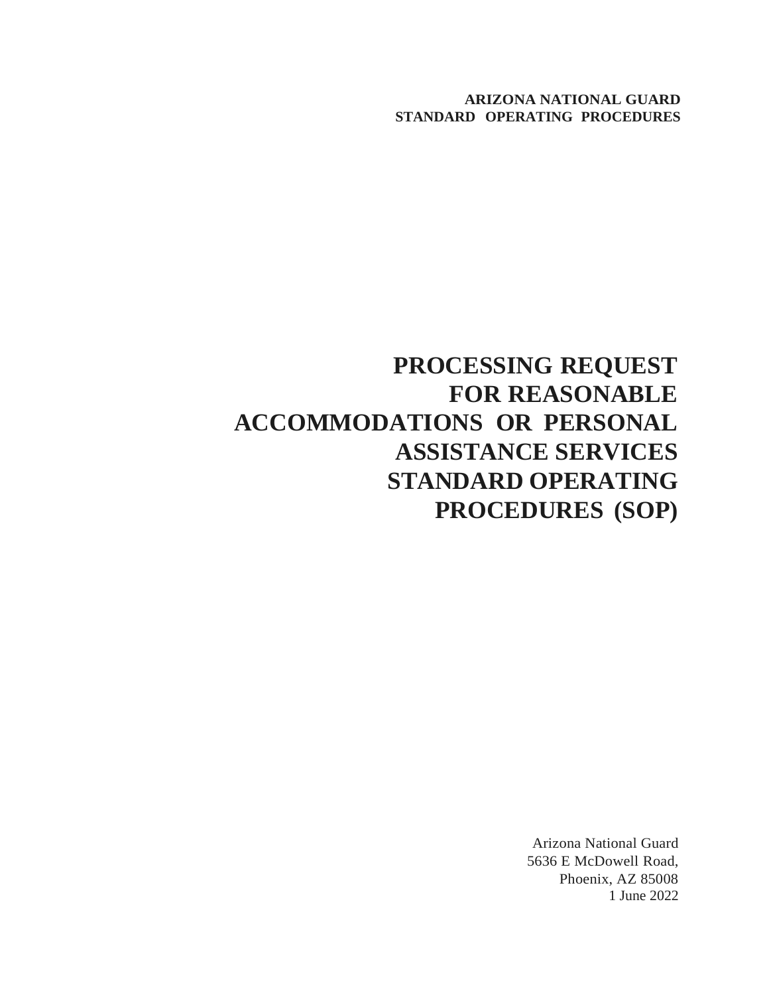# **PROCESSING REQUEST FOR REASONABLE ACCOMMODATIONS OR PERSONAL ASSISTANCE SERVICES STANDARD OPERATING PROCEDURES (SOP)**

Arizona National Guard 5636 E McDowell Road, Phoenix, AZ 85008 1 June 2022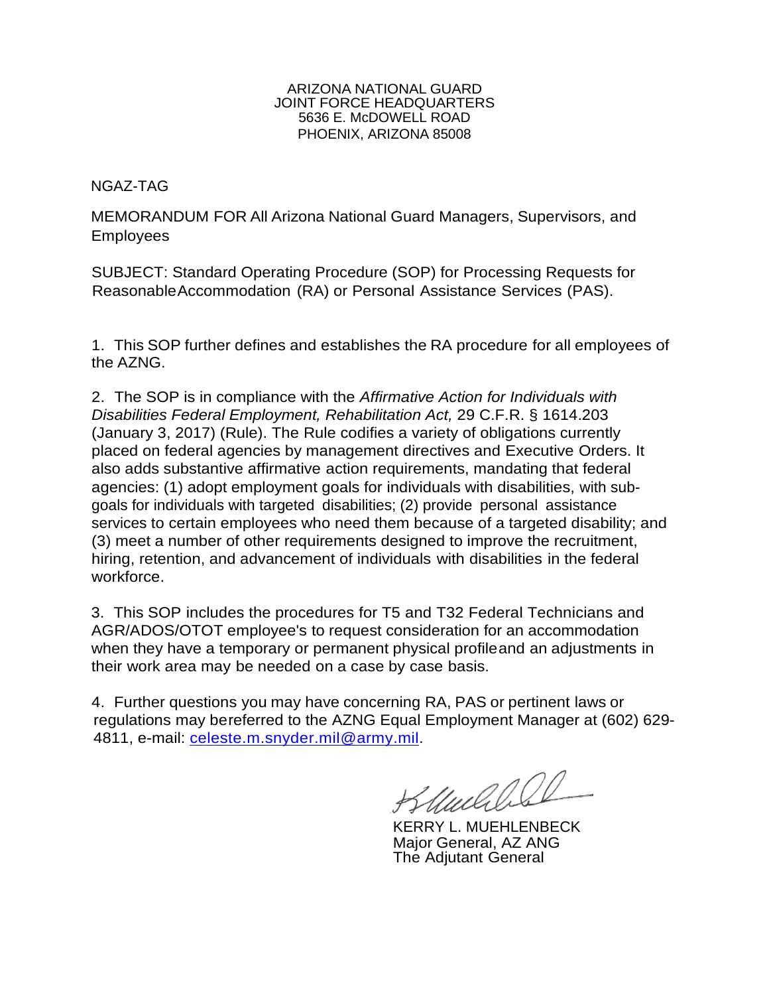#### ARIZONA NATIONAL GUARD JOINT FORCE HEADQUARTERS 5636 E. McDOWELL ROAD PHOENIX, ARIZONA 85008

## NGAZ-TAG

MEMORANDUM FOR All Arizona National Guard Managers, Supervisors, and Employees

SUBJECT: Standard Operating Procedure (SOP) for Processing Requests for ReasonableAccommodation (RA) or Personal Assistance Services (PAS).

1. This SOP further defines and establishes the RA procedure for all employees of the AZNG.

2. The SOP is in compliance with the *Affirmative Action for Individuals with Disabilities Federal Employment, Rehabilitation Act,* 29 C.F.R. § 1614.203 (January 3, 2017) (Rule). The Rule codifies a variety of obligations currently placed on federal agencies by management directives and Executive Orders. It also adds substantive affirmative action requirements, mandating that federal agencies: (1) adopt employment goals for individuals with disabilities, with subgoals for individuals with targeted disabilities; (2) provide personal assistance services to certain employees who need them because of a targeted disability; and (3) meet a number of other requirements designed to improve the recruitment, hiring, retention, and advancement of individuals with disabilities in the federal workforce.

3. This SOP includes the procedures for T5 and T32 Federal Technicians and AGR/ADOS/OTOT employee's to request consideration for an accommodation when they have a temporary or permanent physical profileand an adjustments in their work area may be needed on a case by case basis.

4. Further questions you may have concerning RA, PAS or pertinent laws or regulations may bereferred to the AZNG Equal Employment Manager at (602) 629 4811, e-mail: [celeste.m.snyder.mil@army.mil.](mailto:celeste.m.snyder.mil@army.mil)

Muchles

KERRY L. MUEHLENBECK Major General, AZ ANG The Adjutant General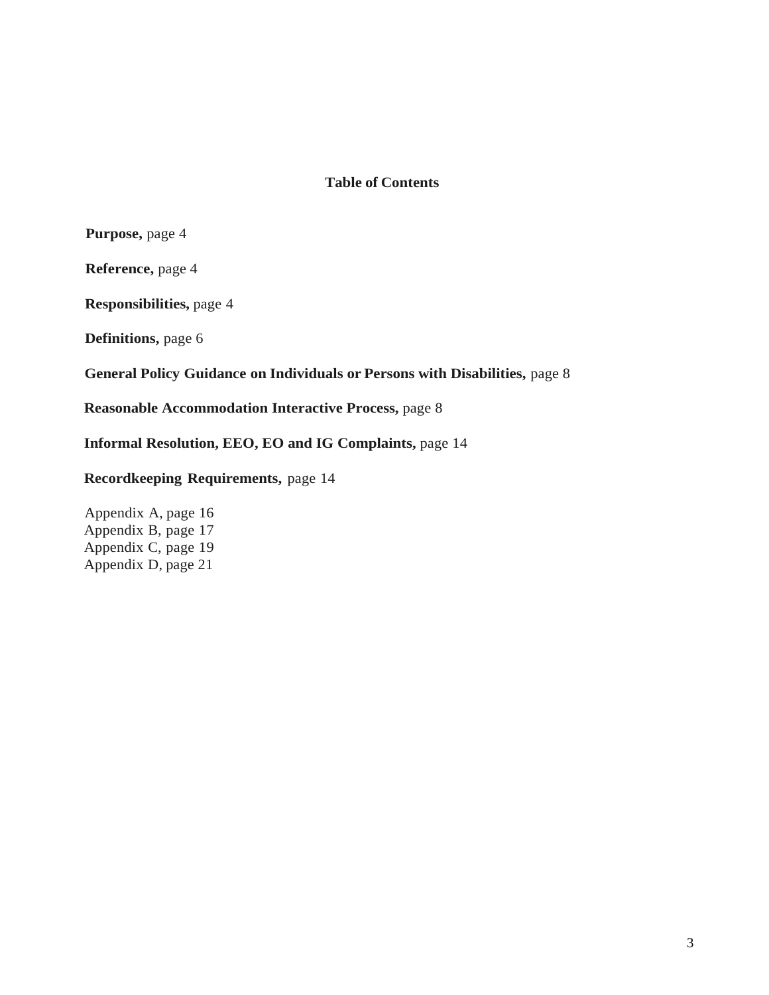## **Table of Contents**

**Purpose,** page 4

**Reference,** page 4

**Responsibilities,** page 4

**Definitions,** page 6

**General Policy Guidance on Individuals or Persons with Disabilities,** page 8

**Reasonable Accommodation Interactive Process,** page 8

**Informal Resolution, EEO, EO and IG Complaints,** page 14

## **Recordkeeping Requirements,** page 14

Appendix A, page 16 Appendix B, page 17 Appendix C, page 19 Appendix D, page 21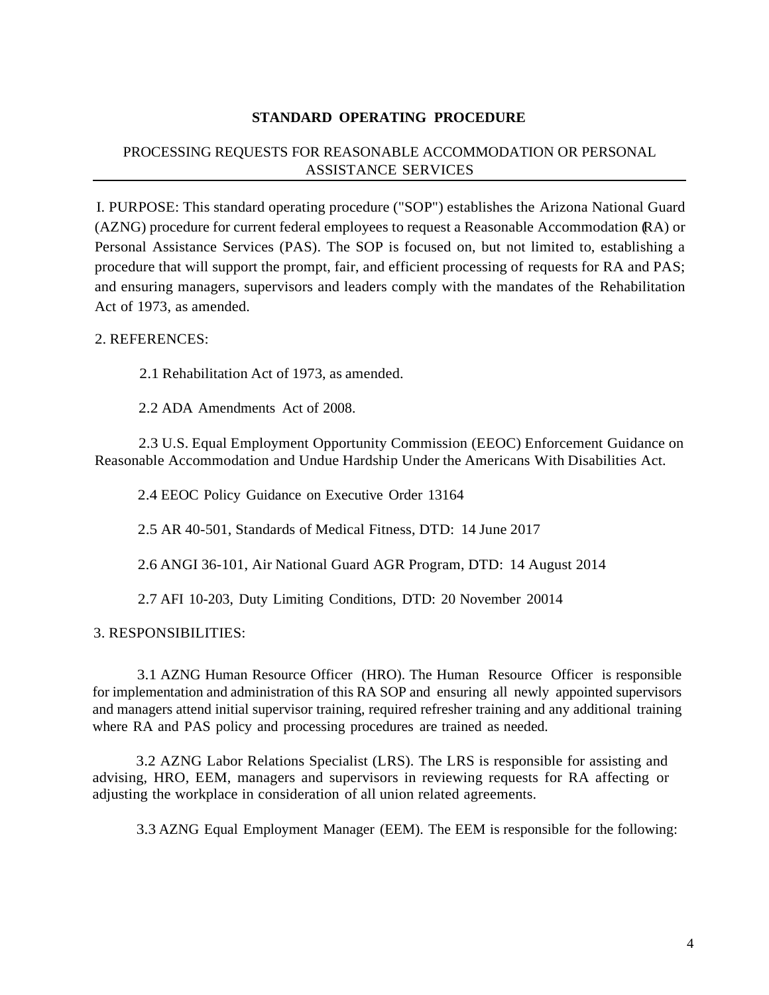## **STANDARD OPERATING PROCEDURE**

## PROCESSING REQUESTS FOR REASONABLE ACCOMMODATION OR PERSONAL ASSISTANCE SERVICES

I. PURPOSE: This standard operating procedure ("SOP") establishes the Arizona National Guard (AZNG) procedure for current federal employees to request a Reasonable Accommodation (RA) or Personal Assistance Services (PAS). The SOP is focused on, but not limited to, establishing a procedure that will support the prompt, fair, and efficient processing of requests for RA and PAS; and ensuring managers, supervisors and leaders comply with the mandates of the Rehabilitation Act of 1973, as amended.

## 2. REFERENCES:

2.1 Rehabilitation Act of 1973, as amended.

2.2 ADA Amendments Act of 2008.

2.3 U.S. Equal Employment Opportunity Commission (EEOC) Enforcement Guidance on Reasonable Accommodation and Undue Hardship Under the Americans With Disabilities Act.

2.4 EEOC Policy Guidance on Executive Order 13164

2.5 AR 40-501, Standards of Medical Fitness, DTD: 14 June 2017

2.6 ANGI 36-101, Air National Guard AGR Program, DTD: 14 August 2014

2.7 AFI 10-203, Duty Limiting Conditions, DTD: 20 November 20014

## 3. RESPONSIBILITIES:

3.1 AZNG Human Resource Officer (HRO). The Human Resource Officer is responsible for implementation and administration of this RA SOP and ensuring all newly appointed supervisors and managers attend initial supervisor training, required refresher training and any additional training where RA and PAS policy and processing procedures are trained as needed.

3.2 AZNG Labor Relations Specialist (LRS). The LRS is responsible for assisting and advising, HRO, EEM, managers and supervisors in reviewing requests for RA affecting or adjusting the workplace in consideration of all union related agreements.

3.3 AZNG Equal Employment Manager (EEM). The EEM is responsible for the following: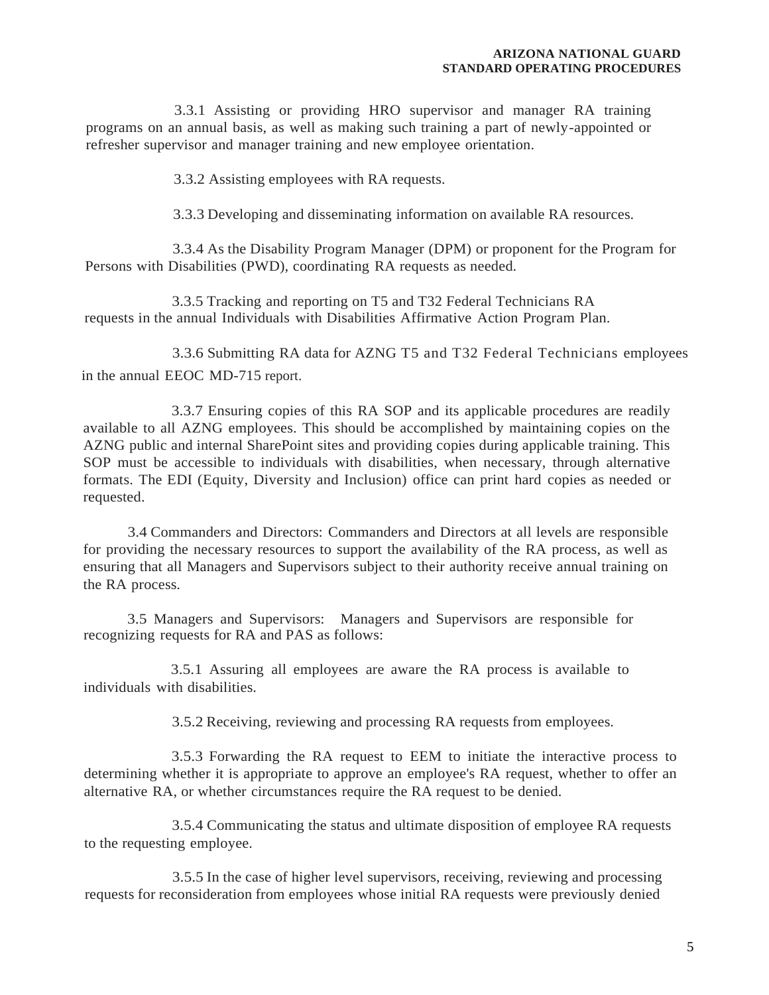3.3.1 Assisting or providing HRO supervisor and manager RA training programs on an annual basis, as well as making such training a part of newly-appointed or refresher supervisor and manager training and new employee orientation.

3.3.2 Assisting employees with RA requests.

3.3.3 Developing and disseminating information on available RA resources.

3.3.4 As the Disability Program Manager (DPM) or proponent for the Program for Persons with Disabilities (PWD), coordinating RA requests as needed.

3.3.5 Tracking and reporting on T5 and T32 Federal Technicians RA requests in the annual Individuals with Disabilities Affirmative Action Program Plan.

3.3.6 Submitting RA data for AZNG T5 and T32 Federal Technicians employees in the annual EEOC MD-715 report.

3.3.7 Ensuring copies of this RA SOP and its applicable procedures are readily available to all AZNG employees. This should be accomplished by maintaining copies on the AZNG public and internal SharePoint sites and providing copies during applicable training. This SOP must be accessible to individuals with disabilities, when necessary, through alternative formats. The EDI (Equity, Diversity and Inclusion) office can print hard copies as needed or requested.

3.4 Commanders and Directors: Commanders and Directors at all levels are responsible for providing the necessary resources to support the availability of the RA process, as well as ensuring that all Managers and Supervisors subject to their authority receive annual training on the RA process.

3.5 Managers and Supervisors: Managers and Supervisors are responsible for recognizing requests for RA and PAS as follows:

3.5.1 Assuring all employees are aware the RA process is available to individuals with disabilities.

3.5.2 Receiving, reviewing and processing RA requests from employees.

3.5.3 Forwarding the RA request to EEM to initiate the interactive process to determining whether it is appropriate to approve an employee's RA request, whether to offer an alternative RA, or whether circumstances require the RA request to be denied.

3.5.4 Communicating the status and ultimate disposition of employee RA requests to the requesting employee.

3.5.5 In the case of higher level supervisors, receiving, reviewing and processing requests for reconsideration from employees whose initial RA requests were previously denied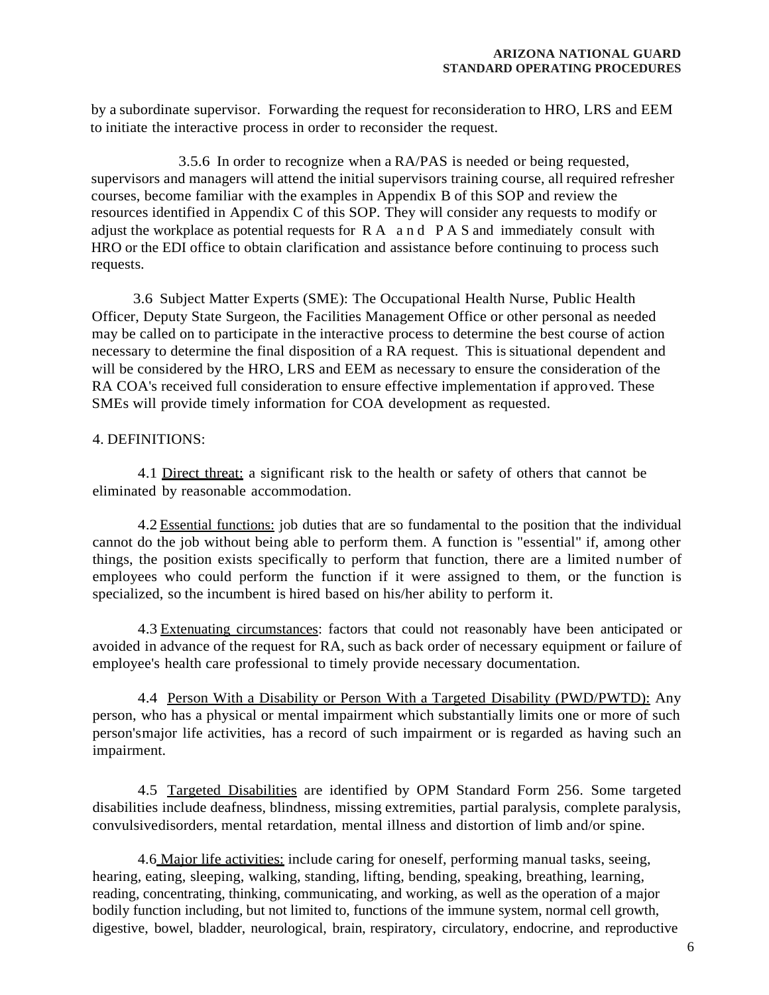by a subordinate supervisor. Forwarding the request for reconsideration to HRO, LRS and EEM to initiate the interactive process in order to reconsider the request.

3.5.6 In order to recognize when a RA/PAS is needed or being requested, supervisors and managers will attend the initial supervisors training course, all required refresher courses, become familiar with the examples in Appendix B of this SOP and review the resources identified in Appendix C of this SOP. They will consider any requests to modify or adjust the workplace as potential requests for R A a n d P A S and immediately consult with HRO or the EDI office to obtain clarification and assistance before continuing to process such requests.

3.6 Subject Matter Experts (SME): The Occupational Health Nurse, Public Health Officer, Deputy State Surgeon, the Facilities Management Office or other personal as needed may be called on to participate in the interactive process to determine the best course of action necessary to determine the final disposition of a RA request. This is situational dependent and will be considered by the HRO, LRS and EEM as necessary to ensure the consideration of the RA COA's received full consideration to ensure effective implementation if approved. These SMEs will provide timely information for COA development as requested.

## 4. DEFINITIONS:

4.1 Direct threat: a significant risk to the health or safety of others that cannot be eliminated by reasonable accommodation.

4.2 Essential functions: job duties that are so fundamental to the position that the individual cannot do the job without being able to perform them. A function is "essential" if, among other things, the position exists specifically to perform that function, there are a limited number of employees who could perform the function if it were assigned to them, or the function is specialized, so the incumbent is hired based on his/her ability to perform it.

4.3 Extenuating circumstances: factors that could not reasonably have been anticipated or avoided in advance of the request for RA, such as back order of necessary equipment or failure of employee's health care professional to timely provide necessary documentation.

4.4 Person With a Disability or Person With a Targeted Disability (PWD/PWTD): Any person, who has a physical or mental impairment which substantially limits one or more of such person'smajor life activities, has a record of such impairment or is regarded as having such an impairment.

4.5 Targeted Disabilities are identified by OPM Standard Form 256. Some targeted disabilities include deafness, blindness, missing extremities, partial paralysis, complete paralysis, convulsivedisorders, mental retardation, mental illness and distortion of limb and/or spine.

4.6 Major life activities: include caring for oneself, performing manual tasks, seeing, hearing, eating, sleeping, walking, standing, lifting, bending, speaking, breathing, learning, reading, concentrating, thinking, communicating, and working, as well as the operation of a major bodily function including, but not limited to, functions of the immune system, normal cell growth, digestive, bowel, bladder, neurological, brain, respiratory, circulatory, endocrine, and reproductive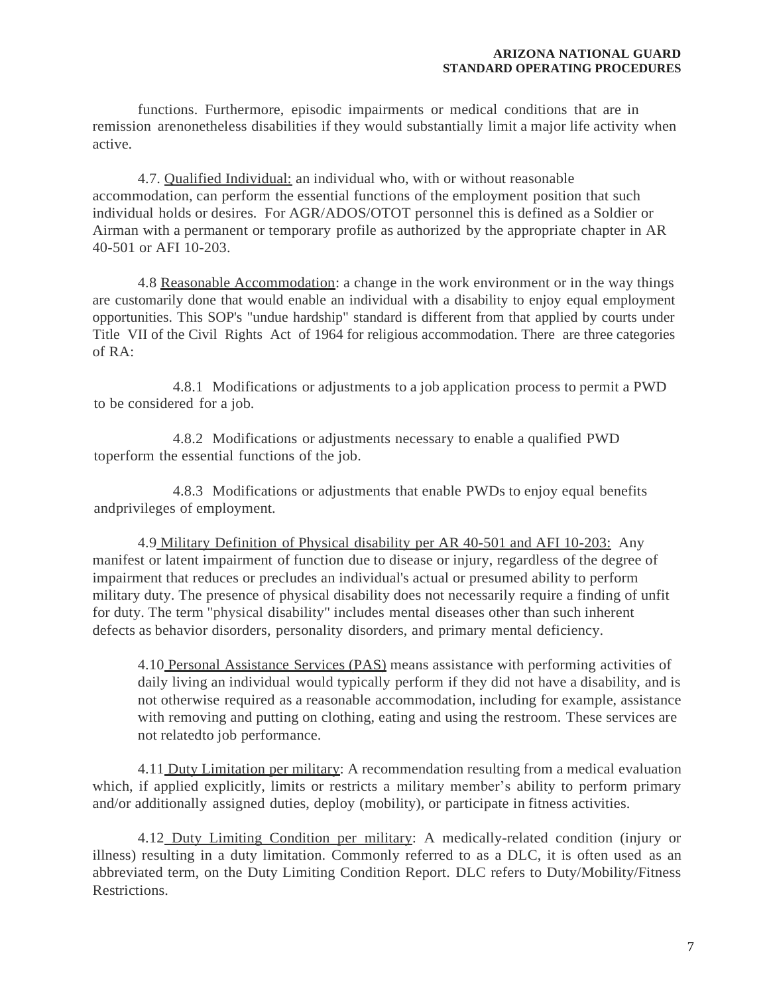functions. Furthermore, episodic impairments or medical conditions that are in remission arenonetheless disabilities if they would substantially limit a major life activity when active.

4.7. Qualified Individual: an individual who, with or without reasonable accommodation, can perform the essential functions of the employment position that such individual holds or desires. For AGR/ADOS/OTOT personnel this is defined as a Soldier or Airman with a permanent or temporary profile as authorized by the appropriate chapter in AR 40-501 or AFI 10-203.

4.8 Reasonable Accommodation: a change in the work environment or in the way things are customarily done that would enable an individual with a disability to enjoy equal employment opportunities. This SOP's "undue hardship" standard is different from that applied by courts under Title VII of the Civil Rights Act of 1964 for religious accommodation. There are three categories of RA:

4.8.1 Modifications or adjustments to a job application process to permit a PWD to be considered for a job.

4.8.2 Modifications or adjustments necessary to enable a qualified PWD toperform the essential functions of the job.

4.8.3 Modifications or adjustments that enable PWDs to enjoy equal benefits andprivileges of employment.

4.9 Military Definition of Physical disability per AR 40-501 and AFI 10-203: Any manifest or latent impairment of function due to disease or injury, regardless of the degree of impairment that reduces or precludes an individual's actual or presumed ability to perform military duty. The presence of physical disability does not necessarily require a finding of unfit for duty. The term "physical disability" includes mental diseases other than such inherent defects as behavior disorders, personality disorders, and primary mental deficiency.

4.10 Personal Assistance Services (PAS) means assistance with performing activities of daily living an individual would typically perform if they did not have a disability, and is not otherwise required as a reasonable accommodation, including for example, assistance with removing and putting on clothing, eating and using the restroom. These services are not relatedto job performance.

4.11 Duty Limitation per military: A recommendation resulting from a medical evaluation which, if applied explicitly, limits or restricts a military member's ability to perform primary and/or additionally assigned duties, deploy (mobility), or participate in fitness activities.

4.12 Duty Limiting Condition per military: A medically-related condition (injury or illness) resulting in a duty limitation. Commonly referred to as a DLC, it is often used as an abbreviated term, on the Duty Limiting Condition Report. DLC refers to Duty/Mobility/Fitness Restrictions.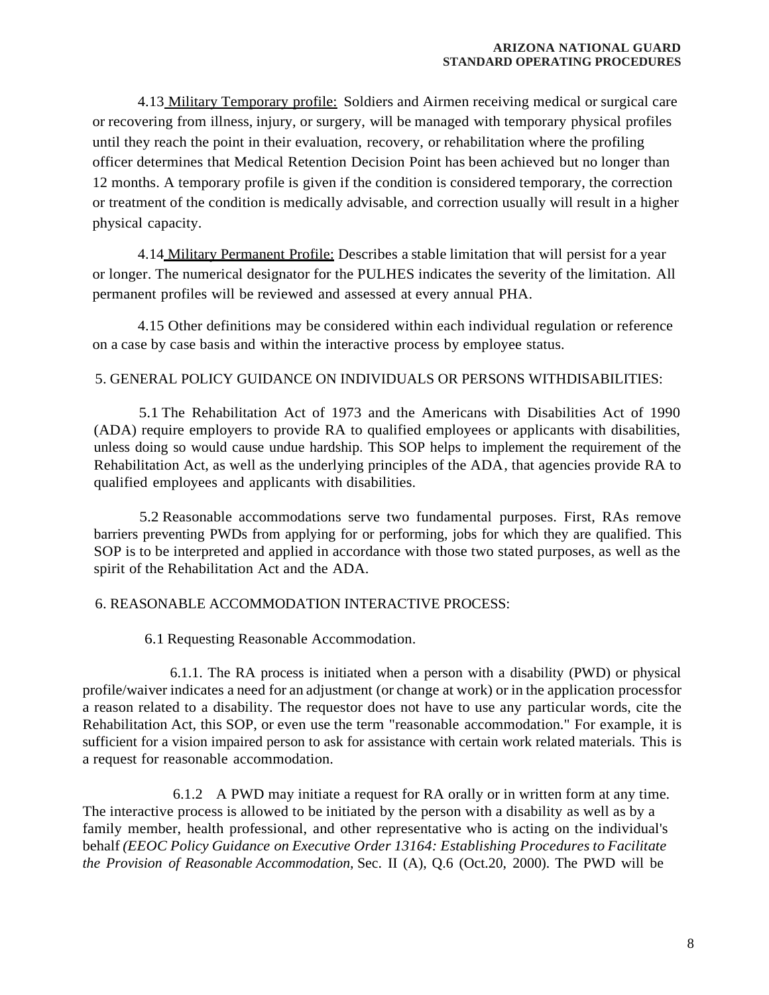4.13 Military Temporary profile: Soldiers and Airmen receiving medical or surgical care or recovering from illness, injury, or surgery, will be managed with temporary physical profiles until they reach the point in their evaluation, recovery, or rehabilitation where the profiling officer determines that Medical Retention Decision Point has been achieved but no longer than 12 months. A temporary profile is given if the condition is considered temporary, the correction or treatment of the condition is medically advisable, and correction usually will result in a higher physical capacity.

4.14 Military Permanent Profile: Describes a stable limitation that will persist for a year or longer. The numerical designator for the PULHES indicates the severity of the limitation. All permanent profiles will be reviewed and assessed at every annual PHA.

4.15 Other definitions may be considered within each individual regulation or reference on a case by case basis and within the interactive process by employee status.

## 5. GENERAL POLICY GUIDANCE ON INDIVIDUALS OR PERSONS WITHDISABILITIES:

5.1 The Rehabilitation Act of 1973 and the Americans with Disabilities Act of 1990 (ADA) require employers to provide RA to qualified employees or applicants with disabilities, unless doing so would cause undue hardship. This SOP helps to implement the requirement of the Rehabilitation Act, as well as the underlying principles of the ADA, that agencies provide RA to qualified employees and applicants with disabilities.

5.2 Reasonable accommodations serve two fundamental purposes. First, RAs remove barriers preventing PWDs from applying for or performing, jobs for which they are qualified. This SOP is to be interpreted and applied in accordance with those two stated purposes, as well as the spirit of the Rehabilitation Act and the ADA.

## 6. REASONABLE ACCOMMODATION INTERACTIVE PROCESS:

6.1 Requesting Reasonable Accommodation.

6.1.1. The RA process is initiated when a person with a disability (PWD) or physical profile/waiver indicates a need for an adjustment (or change at work) or in the application processfor a reason related to a disability. The requestor does not have to use any particular words, cite the Rehabilitation Act, this SOP, or even use the term "reasonable accommodation." For example, it is sufficient for a vision impaired person to ask for assistance with certain work related materials. This is a request for reasonable accommodation.

6.1.2 A PWD may initiate a request for RA orally or in written form at any time. The interactive process is allowed to be initiated by the person with a disability as well as by a family member, health professional, and other representative who is acting on the individual's behalf *(EEOC Policy Guidance on Executive Order 13164: Establishing Procedures to Facilitate the Provision of Reasonable Accommodation,* Sec. II (A), Q.6 (Oct.20, 2000). The PWD will be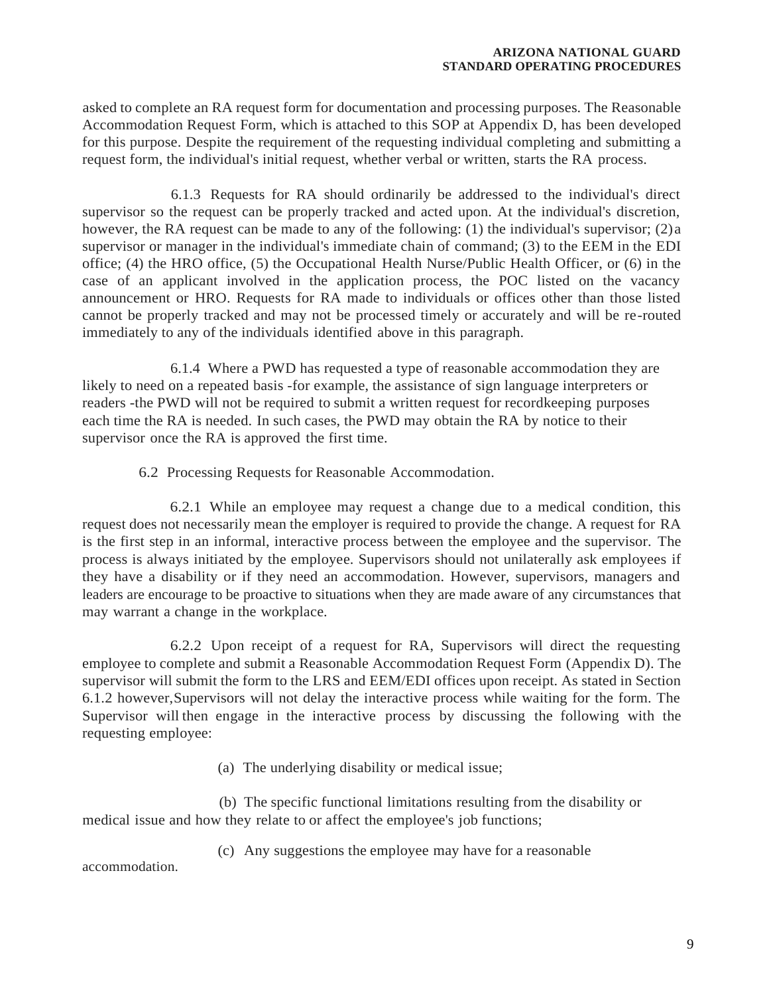asked to complete an RA request form for documentation and processing purposes. The Reasonable Accommodation Request Form, which is attached to this SOP at Appendix D, has been developed for this purpose. Despite the requirement of the requesting individual completing and submitting a request form, the individual's initial request, whether verbal or written, starts the RA process.

6.1.3 Requests for RA should ordinarily be addressed to the individual's direct supervisor so the request can be properly tracked and acted upon. At the individual's discretion, however, the RA request can be made to any of the following: (1) the individual's supervisor; (2) a supervisor or manager in the individual's immediate chain of command; (3) to the EEM in the EDI office; (4) the HRO office, (5) the Occupational Health Nurse/Public Health Officer, or (6) in the case of an applicant involved in the application process, the POC listed on the vacancy announcement or HRO. Requests for RA made to individuals or offices other than those listed cannot be properly tracked and may not be processed timely or accurately and will be re-routed immediately to any of the individuals identified above in this paragraph.

6.1.4 Where a PWD has requested a type of reasonable accommodation they are likely to need on a repeated basis -for example, the assistance of sign language interpreters or readers -the PWD will not be required to submit a written request for recordkeeping purposes each time the RA is needed. In such cases, the PWD may obtain the RA by notice to their supervisor once the RA is approved the first time.

6.2 Processing Requests for Reasonable Accommodation.

6.2.1 While an employee may request a change due to a medical condition, this request does not necessarily mean the employer is required to provide the change. A request for RA is the first step in an informal, interactive process between the employee and the supervisor. The process is always initiated by the employee. Supervisors should not unilaterally ask employees if they have a disability or if they need an accommodation. However, supervisors, managers and leaders are encourage to be proactive to situations when they are made aware of any circumstances that may warrant a change in the workplace.

6.2.2 Upon receipt of a request for RA, Supervisors will direct the requesting employee to complete and submit a Reasonable Accommodation Request Form (Appendix D). The supervisor will submit the form to the LRS and EEM/EDI offices upon receipt. As stated in Section 6.1.2 however,Supervisors will not delay the interactive process while waiting for the form. The Supervisor will then engage in the interactive process by discussing the following with the requesting employee:

(a) The underlying disability or medical issue;

(b) The specific functional limitations resulting from the disability or medical issue and how they relate to or affect the employee's job functions;

(c) Any suggestions the employee may have for a reasonable

accommodation.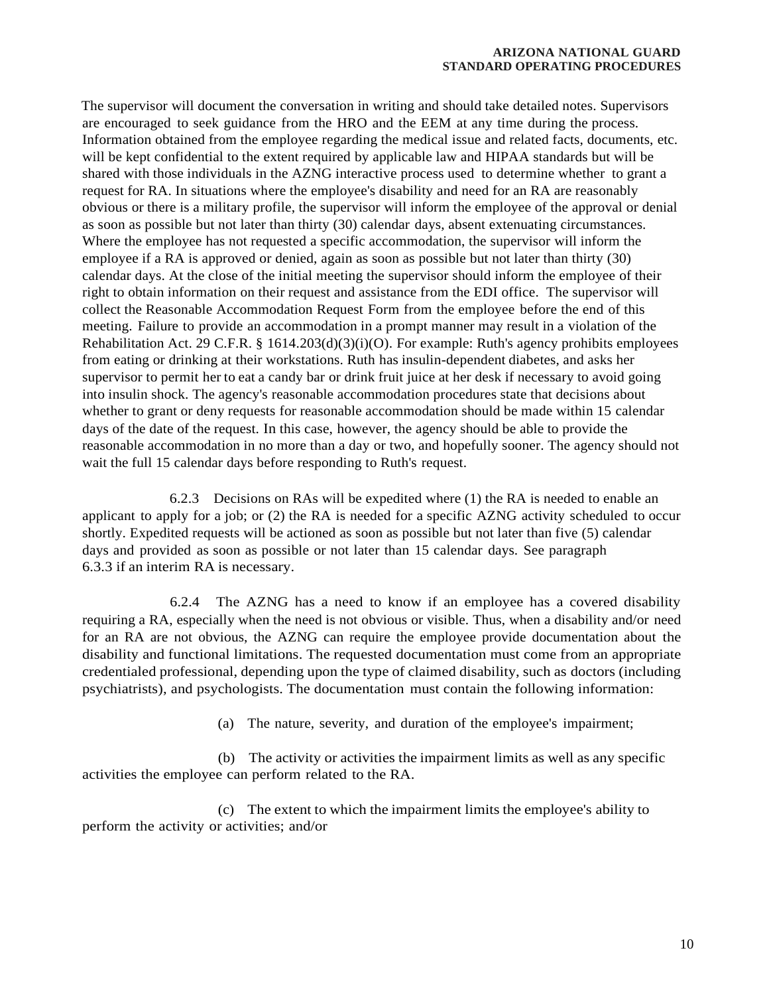The supervisor will document the conversation in writing and should take detailed notes. Supervisors are encouraged to seek guidance from the HRO and the EEM at any time during the process. Information obtained from the employee regarding the medical issue and related facts, documents, etc. will be kept confidential to the extent required by applicable law and HIPAA standards but will be shared with those individuals in the AZNG interactive process used to determine whether to grant a request for RA. In situations where the employee's disability and need for an RA are reasonably obvious or there is a military profile, the supervisor will inform the employee of the approval or denial as soon as possible but not later than thirty (30) calendar days, absent extenuating circumstances. Where the employee has not requested a specific accommodation, the supervisor will inform the employee if a RA is approved or denied, again as soon as possible but not later than thirty (30) calendar days. At the close of the initial meeting the supervisor should inform the employee of their right to obtain information on their request and assistance from the EDI office. The supervisor will collect the Reasonable Accommodation Request Form from the employee before the end of this meeting. Failure to provide an accommodation in a prompt manner may result in a violation of the Rehabilitation Act. 29 C.F.R. § 1614.203(d)(3)(i)(O). For example: Ruth's agency prohibits employees from eating or drinking at their workstations. Ruth has insulin-dependent diabetes, and asks her supervisor to permit her to eat a candy bar or drink fruit juice at her desk if necessary to avoid going into insulin shock. The agency's reasonable accommodation procedures state that decisions about whether to grant or deny requests for reasonable accommodation should be made within 15 calendar days of the date of the request. In this case, however, the agency should be able to provide the reasonable accommodation in no more than a day or two, and hopefully sooner. The agency should not wait the full 15 calendar days before responding to Ruth's request.

6.2.3 Decisions on RAs will be expedited where (1) the RA is needed to enable an applicant to apply for a job; or (2) the RA is needed for a specific AZNG activity scheduled to occur shortly. Expedited requests will be actioned as soon as possible but not later than five (5) calendar days and provided as soon as possible or not later than 15 calendar days. See paragraph 6.3.3 if an interim RA is necessary.

6.2.4 The AZNG has a need to know if an employee has a covered disability requiring a RA, especially when the need is not obvious or visible. Thus, when a disability and/or need for an RA are not obvious, the AZNG can require the employee provide documentation about the disability and functional limitations. The requested documentation must come from an appropriate credentialed professional, depending upon the type of claimed disability, such as doctors (including psychiatrists), and psychologists. The documentation must contain the following information:

(a) The nature, severity, and duration of the employee's impairment;

(b) The activity or activities the impairment limits as well as any specific activities the employee can perform related to the RA.

(c) The extent to which the impairment limits the employee's ability to perform the activity or activities; and/or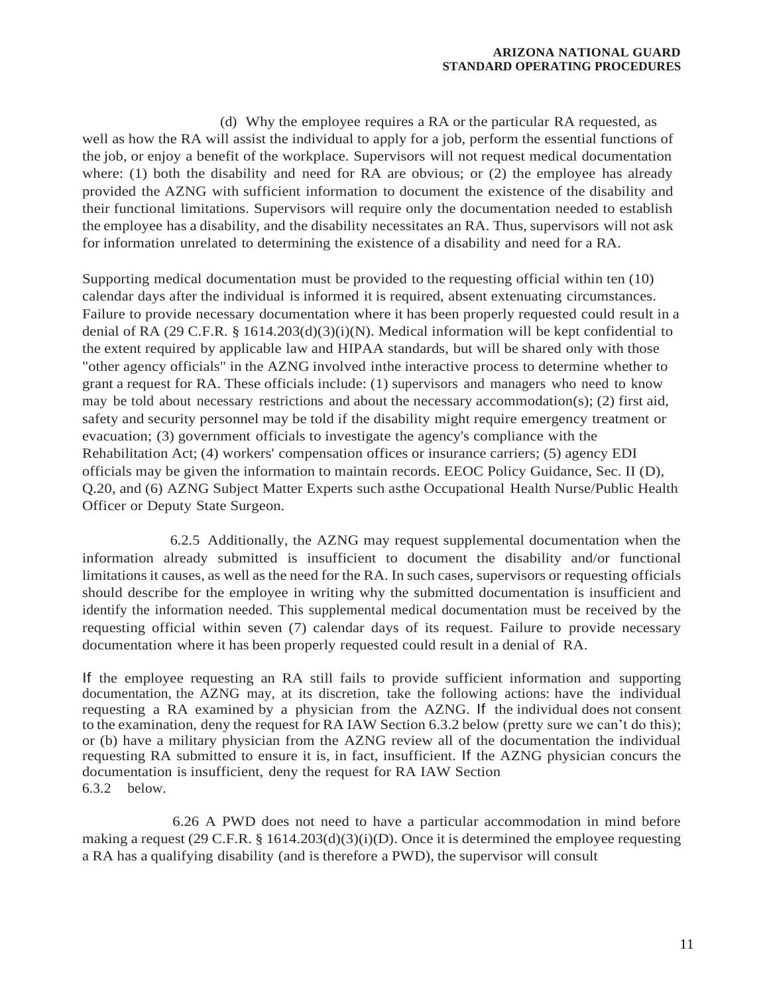(d) Why the employee requires a RA or the particular RA requested, as well as how the RA will assist the individual to apply for a job, perform the essential functions of the job, or enjoy a benefit of the workplace. Supervisors will not request medical documentation where: (1) both the disability and need for RA are obvious; or  $(2)$  the employee has already provided the AZNG with sufficient information to document the existence of the disability and their functional limitations. Supervisors will require only the documentation needed to establish the employee has a disability, and the disability necessitates an RA. Thus, supervisors will not ask for information unrelated to determining the existence of a disability and need for a RA.

Supporting medical documentation must be provided to the requesting official within ten (10) calendar days after the individual is informed it is required, absent extenuating circumstances. Failure to provide necessary documentation where it has been properly requested could result in a denial of RA (29 C.F.R. § 1614.203(d)(3)(i)(N). Medical information will be kept confidential to the extent required by applicable law and HIPAA standards, but will be shared only with those "other agency officials" in the AZNG involved inthe interactive process to determine whether to grant a request for RA. These officials include: (1) supervisors and managers who need to know may be told about necessary restrictions and about the necessary accommodation(s); (2) first aid, safety and security personnel may be told if the disability might require emergency treatment or evacuation; (3) government officials to investigate the agency's compliance with the Rehabilitation Act; (4) workers' compensation offices or insurance carriers; (5) agency EDI officials may be given the information to maintain records. EEOC Policy Guidance, Sec. II (D), Q.20, and (6) AZNG Subject Matter Experts such asthe Occupational Health Nurse/Public Health Officer or Deputy State Surgeon.

6.2.5 Additionally, the AZNG may request supplemental documentation when the information already submitted is insufficient to document the disability and/or functional limitations it causes, as well as the need for the RA. In such cases, supervisors or requesting officials should describe for the employee in writing why the submitted documentation is insufficient and identify the information needed. This supplemental medical documentation must be received by the requesting official within seven (7) calendar days of its request. Failure to provide necessary documentation where it has been properly requested could result in a denial of RA.

If the employee requesting an RA still fails to provide sufficient information and supporting documentation, the AZNG may, at its discretion, take the following actions: have the individual requesting a RA examined by a physician from the AZNG. If the individual does not consent to the examination, deny the request for RA IAW Section 6.3.2 below (pretty sure we can't do this); or (b) have a military physician from the AZNG review all of the documentation the individual requesting RA submitted to ensure it is, in fact, insufficient. If the AZNG physician concurs the documentation is insufficient, deny the request for RA IAW Section 6.3.2 below.

6.26 A PWD does not need to have a particular accommodation in mind before making a request (29 C.F.R. § 1614.203(d)(3)(i)(D). Once it is determined the employee requesting a RA has a qualifying disability (and is therefore a PWD), the supervisor will consult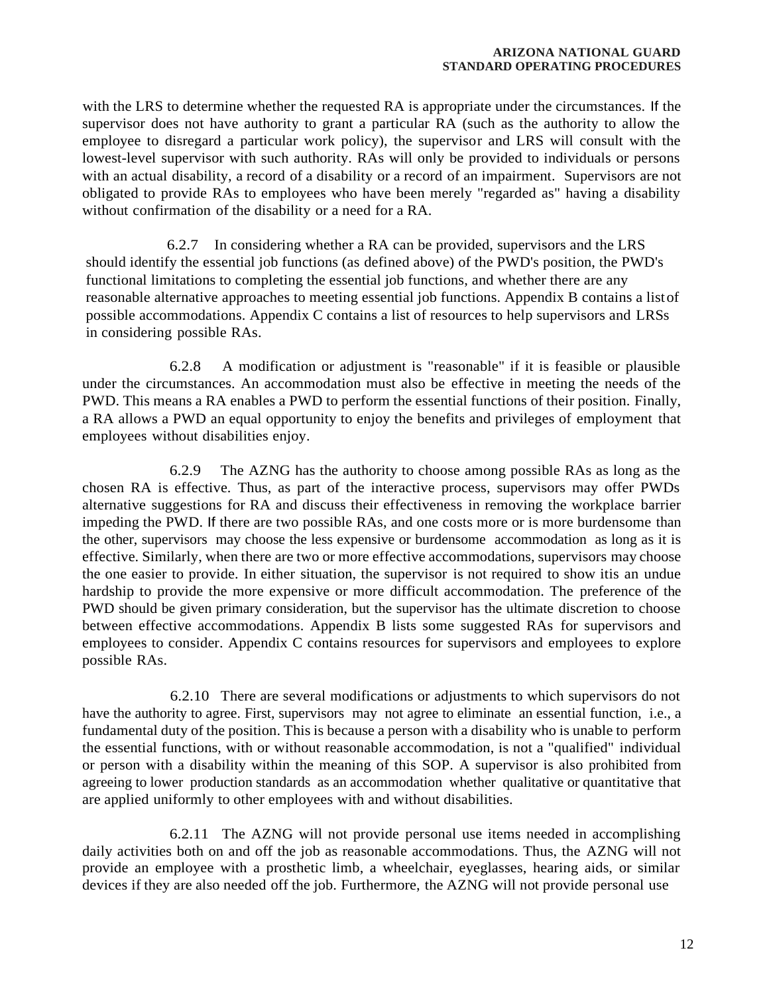with the LRS to determine whether the requested RA is appropriate under the circumstances. If the supervisor does not have authority to grant a particular RA (such as the authority to allow the employee to disregard a particular work policy), the supervisor and LRS will consult with the lowest-level supervisor with such authority. RAs will only be provided to individuals or persons with an actual disability, a record of a disability or a record of an impairment. Supervisors are not obligated to provide RAs to employees who have been merely "regarded as" having a disability without confirmation of the disability or a need for a RA.

6.2.7 In considering whether a RA can be provided, supervisors and the LRS should identify the essential job functions (as defined above) of the PWD's position, the PWD's functional limitations to completing the essential job functions, and whether there are any reasonable alternative approaches to meeting essential job functions. Appendix B contains a listof possible accommodations. Appendix C contains a list of resources to help supervisors and LRSs in considering possible RAs.

6.2.8 A modification or adjustment is "reasonable" if it is feasible or plausible under the circumstances. An accommodation must also be effective in meeting the needs of the PWD. This means a RA enables a PWD to perform the essential functions of their position. Finally, a RA allows a PWD an equal opportunity to enjoy the benefits and privileges of employment that employees without disabilities enjoy.

6.2.9 The AZNG has the authority to choose among possible RAs as long as the chosen RA is effective. Thus, as part of the interactive process, supervisors may offer PWDs alternative suggestions for RA and discuss their effectiveness in removing the workplace barrier impeding the PWD. If there are two possible RAs, and one costs more or is more burdensome than the other, supervisors may choose the less expensive or burdensome accommodation as long as it is effective. Similarly, when there are two or more effective accommodations, supervisors may choose the one easier to provide. In either situation, the supervisor is not required to show itis an undue hardship to provide the more expensive or more difficult accommodation. The preference of the PWD should be given primary consideration, but the supervisor has the ultimate discretion to choose between effective accommodations. Appendix B lists some suggested RAs for supervisors and employees to consider. Appendix C contains resources for supervisors and employees to explore possible RAs.

6.2.10 There are several modifications or adjustments to which supervisors do not have the authority to agree. First, supervisors may not agree to eliminate an essential function, i.e., a fundamental duty of the position. This is because a person with a disability who is unable to perform the essential functions, with or without reasonable accommodation, is not a "qualified" individual or person with a disability within the meaning of this SOP. A supervisor is also prohibited from agreeing to lower production standards as an accommodation whether qualitative or quantitative that are applied uniformly to other employees with and without disabilities.

6.2.11 The AZNG will not provide personal use items needed in accomplishing daily activities both on and off the job as reasonable accommodations. Thus, the AZNG will not provide an employee with a prosthetic limb, a wheelchair, eyeglasses, hearing aids, or similar devices if they are also needed off the job. Furthermore, the AZNG will not provide personal use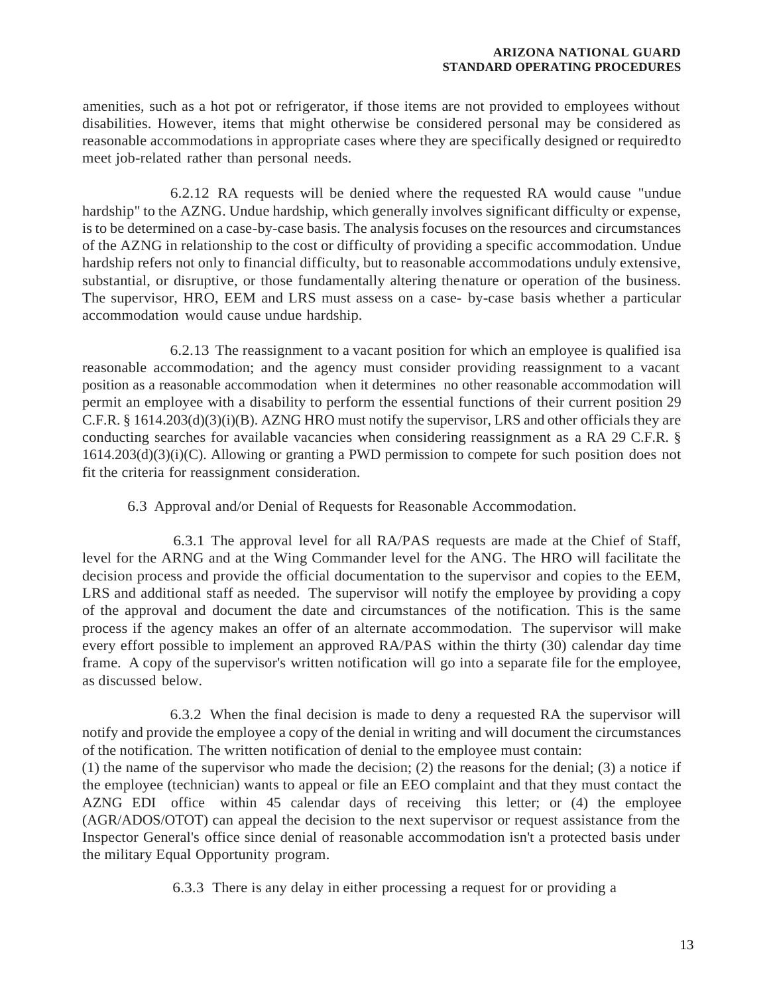amenities, such as a hot pot or refrigerator, if those items are not provided to employees without disabilities. However, items that might otherwise be considered personal may be considered as reasonable accommodations in appropriate cases where they are specifically designed or requiredto meet job-related rather than personal needs.

6.2.12 RA requests will be denied where the requested RA would cause "undue hardship" to the AZNG. Undue hardship, which generally involves significant difficulty or expense, is to be determined on a case-by-case basis. The analysis focuses on the resources and circumstances of the AZNG in relationship to the cost or difficulty of providing a specific accommodation. Undue hardship refers not only to financial difficulty, but to reasonable accommodations unduly extensive, substantial, or disruptive, or those fundamentally altering thenature or operation of the business. The supervisor, HRO, EEM and LRS must assess on a case- by-case basis whether a particular accommodation would cause undue hardship.

6.2.13 The reassignment to a vacant position for which an employee is qualified isa reasonable accommodation; and the agency must consider providing reassignment to a vacant position as a reasonable accommodation when it determines no other reasonable accommodation will permit an employee with a disability to perform the essential functions of their current position 29 C.F.R. §  $1614.203(d)(3)(i)(B)$ . AZNG HRO must notify the supervisor, LRS and other officials they are conducting searches for available vacancies when considering reassignment as a RA 29 C.F.R. § 1614.203(d)(3)(i)(C). Allowing or granting a PWD permission to compete for such position does not fit the criteria for reassignment consideration.

6.3 Approval and/or Denial of Requests for Reasonable Accommodation.

6.3.1 The approval level for all RA/PAS requests are made at the Chief of Staff, level for the ARNG and at the Wing Commander level for the ANG. The HRO will facilitate the decision process and provide the official documentation to the supervisor and copies to the EEM, LRS and additional staff as needed. The supervisor will notify the employee by providing a copy of the approval and document the date and circumstances of the notification. This is the same process if the agency makes an offer of an alternate accommodation. The supervisor will make every effort possible to implement an approved RA/PAS within the thirty (30) calendar day time frame. A copy of the supervisor's written notification will go into a separate file for the employee, as discussed below.

6.3.2 When the final decision is made to deny a requested RA the supervisor will notify and provide the employee a copy of the denial in writing and will document the circumstances of the notification. The written notification of denial to the employee must contain:

(1) the name of the supervisor who made the decision; (2) the reasons for the denial; (3) a notice if the employee (technician) wants to appeal or file an EEO complaint and that they must contact the AZNG EDI office within 45 calendar days of receiving this letter; or (4) the employee (AGR/ADOS/OTOT) can appeal the decision to the next supervisor or request assistance from the Inspector General's office since denial of reasonable accommodation isn't a protected basis under the military Equal Opportunity program.

6.3.3 There is any delay in either processing a request for or providing a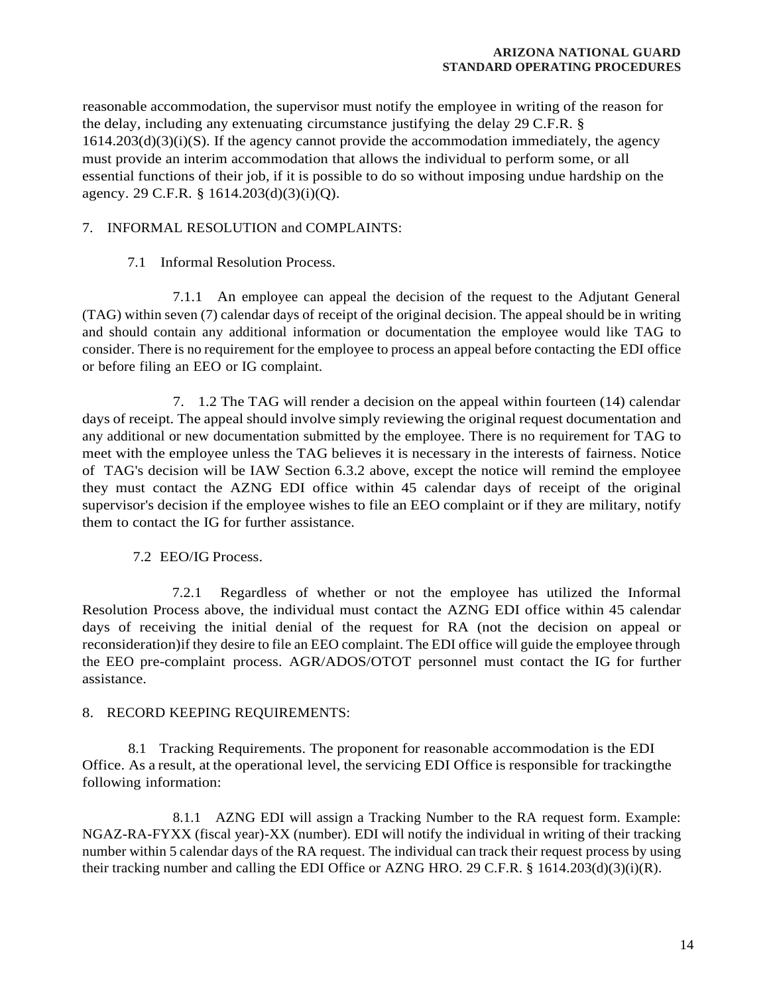reasonable accommodation, the supervisor must notify the employee in writing of the reason for the delay, including any extenuating circumstance justifying the delay 29 C.F.R. §  $1614.203(d)(3)(i)(S)$ . If the agency cannot provide the accommodation immediately, the agency must provide an interim accommodation that allows the individual to perform some, or all essential functions of their job, if it is possible to do so without imposing undue hardship on the agency. 29 C.F.R. § 1614.203(d)(3)(i)(Q).

## 7. INFORMAL RESOLUTION and COMPLAINTS:

7.1 Informal Resolution Process.

7.1.1 An employee can appeal the decision of the request to the Adjutant General (TAG) within seven (7) calendar days of receipt of the original decision. The appeal should be in writing and should contain any additional information or documentation the employee would like TAG to consider. There is no requirement for the employee to process an appeal before contacting the EDI office or before filing an EEO or IG complaint.

7. 1.2 The TAG will render a decision on the appeal within fourteen (14) calendar days of receipt. The appeal should involve simply reviewing the original request documentation and any additional or new documentation submitted by the employee. There is no requirement for TAG to meet with the employee unless the TAG believes it is necessary in the interests of fairness. Notice of TAG's decision will be IAW Section 6.3.2 above, except the notice will remind the employee they must contact the AZNG EDI office within 45 calendar days of receipt of the original supervisor's decision if the employee wishes to file an EEO complaint or if they are military, notify them to contact the IG for further assistance.

7.2 EEO/IG Process.

7.2.1 Regardless of whether or not the employee has utilized the Informal Resolution Process above, the individual must contact the AZNG EDI office within 45 calendar days of receiving the initial denial of the request for RA (not the decision on appeal or reconsideration)if they desire to file an EEO complaint. The EDI office will guide the employee through the EEO pre-complaint process. AGR/ADOS/OTOT personnel must contact the IG for further assistance.

## 8. RECORD KEEPING REQUIREMENTS:

8.1 Tracking Requirements. The proponent for reasonable accommodation is the EDI Office. As a result, at the operational level, the servicing EDI Office is responsible for trackingthe following information:

8.1.1 AZNG EDI will assign a Tracking Number to the RA request form. Example: NGAZ-RA-FYXX (fiscal year)-XX (number). EDI will notify the individual in writing of their tracking number within 5 calendar days of the RA request. The individual can track their request process by using their tracking number and calling the EDI Office or AZNG HRO. 29 C.F.R. § 1614.203(d)(3)(i)(R).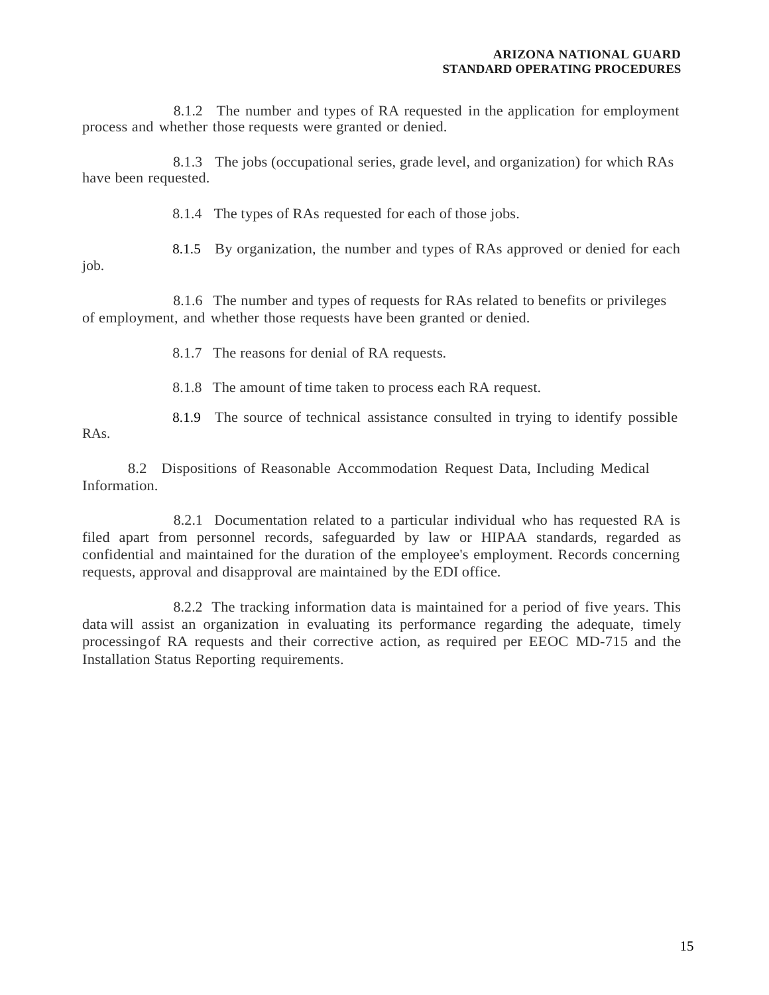8.1.2 The number and types of RA requested in the application for employment process and whether those requests were granted or denied.

8.1.3 The jobs (occupational series, grade level, and organization) for which RAs have been requested.

8.1.4 The types of RAs requested for each of those jobs.

8.1.5 By organization, the number and types of RAs approved or denied for each

job.

8.1.6 The number and types of requests for RAs related to benefits or privileges of employment, and whether those requests have been granted or denied.

8.1.7 The reasons for denial of RA requests.

8.1.8 The amount of time taken to process each RA request.

RAs.

8.1.9 The source of technical assistance consulted in trying to identify possible

8.2 Dispositions of Reasonable Accommodation Request Data, Including Medical Information.

8.2.1 Documentation related to a particular individual who has requested RA is filed apart from personnel records, safeguarded by law or HIPAA standards, regarded as confidential and maintained for the duration of the employee's employment. Records concerning requests, approval and disapproval are maintained by the EDI office.

8.2.2 The tracking information data is maintained for a period of five years. This data will assist an organization in evaluating its performance regarding the adequate, timely processingof RA requests and their corrective action, as required per EEOC MD-715 and the Installation Status Reporting requirements.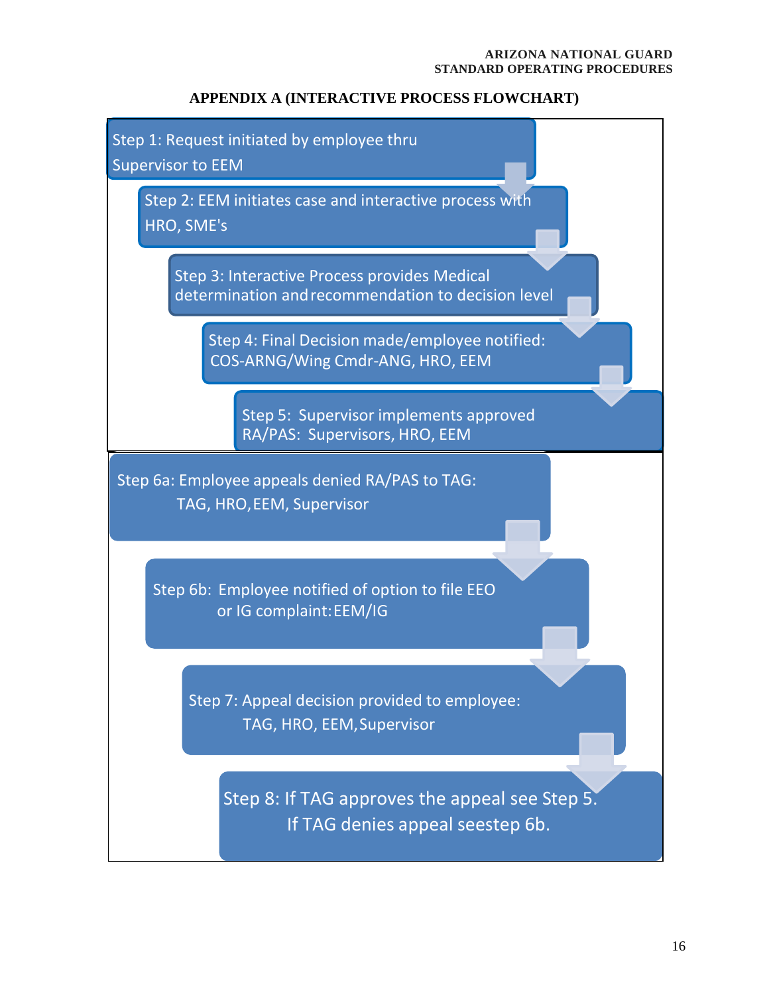## **APPENDIX A (INTERACTIVE PROCESS FLOWCHART)**

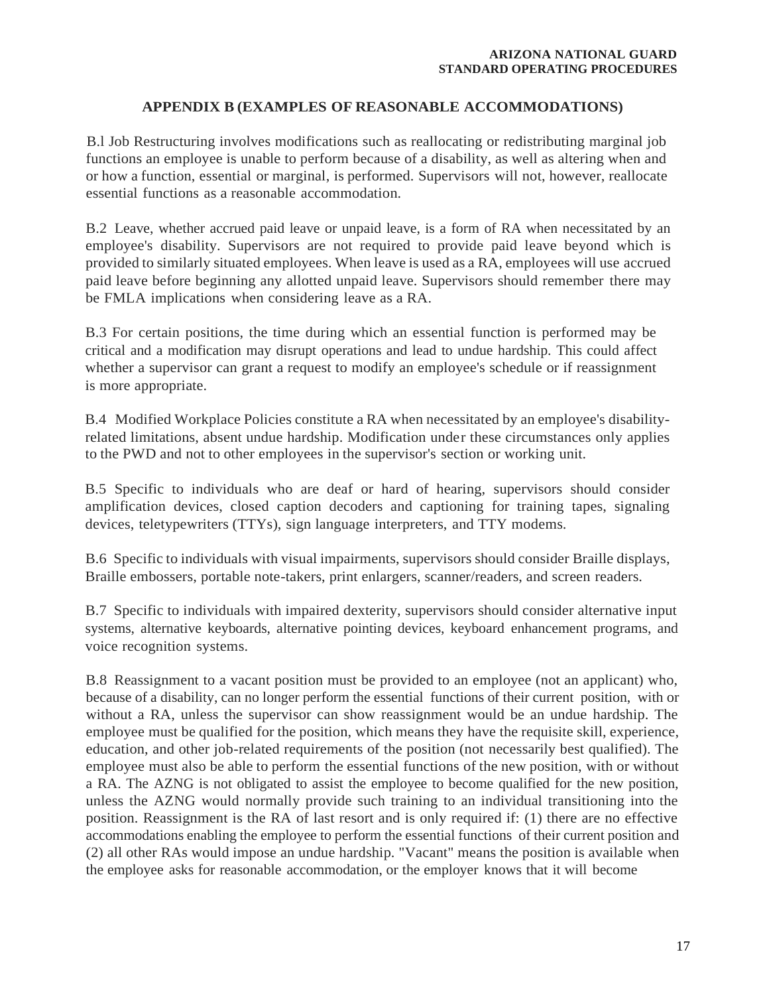## **APPENDIX B (EXAMPLES OF REASONABLE ACCOMMODATIONS)**

B.l Job Restructuring involves modifications such as reallocating or redistributing marginal job functions an employee is unable to perform because of a disability, as well as altering when and or how a function, essential or marginal, is performed. Supervisors will not, however, reallocate essential functions as a reasonable accommodation.

B.2 Leave, whether accrued paid leave or unpaid leave, is a form of RA when necessitated by an employee's disability. Supervisors are not required to provide paid leave beyond which is provided to similarly situated employees. When leave is used as a RA, employees will use accrued paid leave before beginning any allotted unpaid leave. Supervisors should remember there may be FMLA implications when considering leave as a RA.

B.3 For certain positions, the time during which an essential function is performed may be critical and a modification may disrupt operations and lead to undue hardship. This could affect whether a supervisor can grant a request to modify an employee's schedule or if reassignment is more appropriate.

B.4 Modified Workplace Policies constitute a RA when necessitated by an employee's disabilityrelated limitations, absent undue hardship. Modification under these circumstances only applies to the PWD and not to other employees in the supervisor's section or working unit.

B.5 Specific to individuals who are deaf or hard of hearing, supervisors should consider amplification devices, closed caption decoders and captioning for training tapes, signaling devices, teletypewriters (TTYs), sign language interpreters, and TTY modems.

B.6 Specific to individuals with visual impairments, supervisors should consider Braille displays, Braille embossers, portable note-takers, print enlargers, scanner/readers, and screen readers.

B.7 Specific to individuals with impaired dexterity, supervisors should consider alternative input systems, alternative keyboards, alternative pointing devices, keyboard enhancement programs, and voice recognition systems.

B.8 Reassignment to a vacant position must be provided to an employee (not an applicant) who, because of a disability, can no longer perform the essential functions of their current position, with or without a RA, unless the supervisor can show reassignment would be an undue hardship. The employee must be qualified for the position, which means they have the requisite skill, experience, education, and other job-related requirements of the position (not necessarily best qualified). The employee must also be able to perform the essential functions of the new position, with or without a RA. The AZNG is not obligated to assist the employee to become qualified for the new position, unless the AZNG would normally provide such training to an individual transitioning into the position. Reassignment is the RA of last resort and is only required if: (1) there are no effective accommodations enabling the employee to perform the essential functions of their current position and (2) all other RAs would impose an undue hardship. "Vacant" means the position is available when the employee asks for reasonable accommodation, or the employer knows that it will become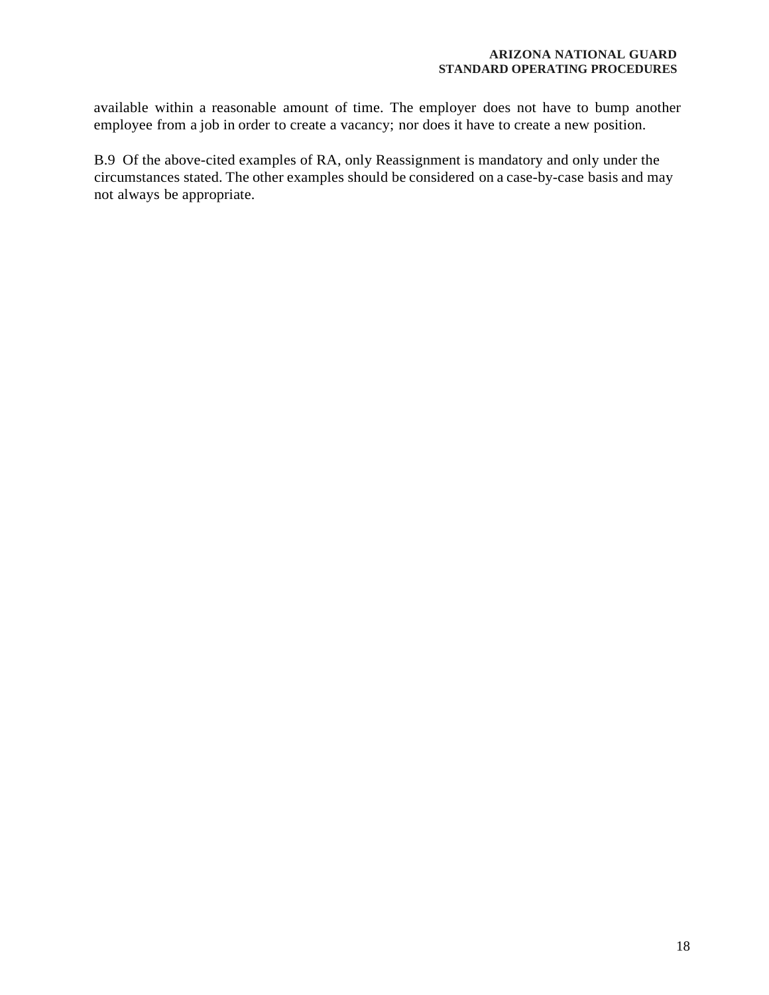available within a reasonable amount of time. The employer does not have to bump another employee from a job in order to create a vacancy; nor does it have to create a new position.

B.9 Of the above-cited examples of RA, only Reassignment is mandatory and only under the circumstances stated. The other examples should be considered on a case-by-case basis and may not always be appropriate.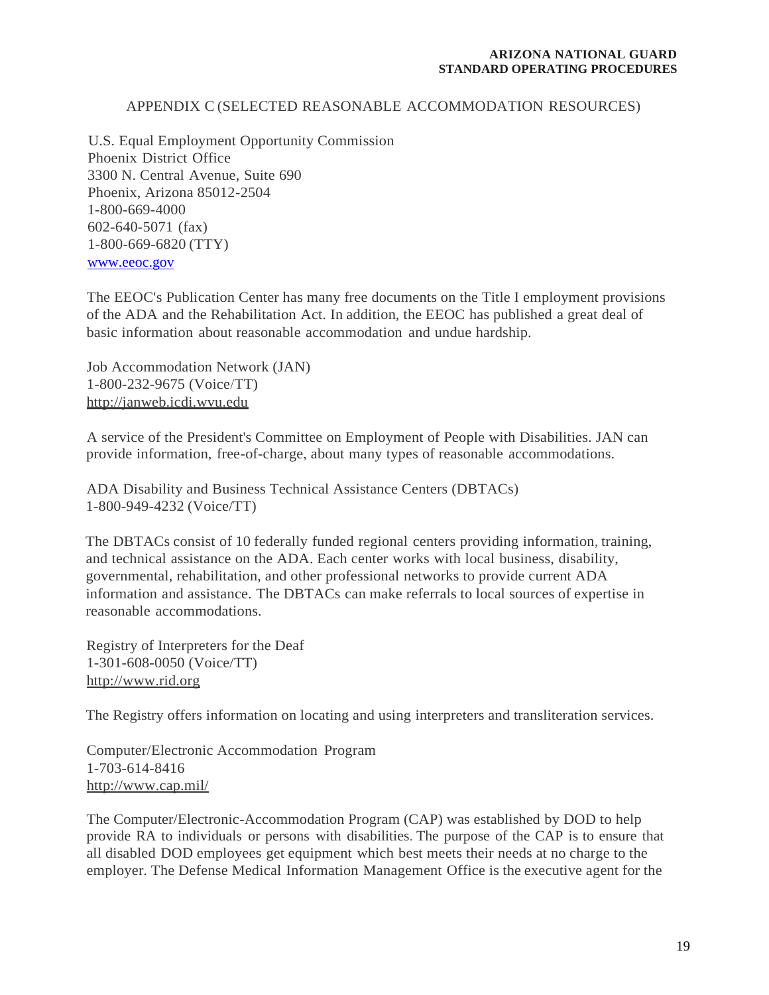## APPENDIX C (SELECTED REASONABLE ACCOMMODATION RESOURCES)

U.S. Equal Employment Opportunity Commission Phoenix District Office 3300 N. Central Avenue, Suite 690 Phoenix, Arizona 85012-2504 1-800-669-4000 602-640-5071 (fax) 1-800-669-6820 (TTY) [www.eeoc.gov](http://www.eeoc.gov/)

The EEOC's Publication Center has many free documents on the Title I employment provisions of the ADA and the Rehabilitation Act. In addition, the EEOC has published a great deal of basic information about reasonable accommodation and undue hardship.

Job Accommodation Network (JAN) 1-800-232-9675 (Voice/TT) [http://janweb.icdi.wvu.edu](http://janweb.icdi.wvu.edu/)

A service of the President's Committee on Employment of People with Disabilities. JAN can provide information, free-of-charge, about many types of reasonable accommodations.

ADA Disability and Business Technical Assistance Centers (DBTACs) 1-800-949-4232 (Voice/TT)

The DBTACs consist of 10 federally funded regional centers providing information, training, and technical assistance on the ADA. Each center works with local business, disability, governmental, rehabilitation, and other professional networks to provide current ADA information and assistance. The DBTACs can make referrals to local sources of expertise in reasonable accommodations.

Registry of Interpreters for the Deaf 1-301-608-0050 (Voice/TT) [http://www.rid.org](http://www.rid.org/)

The Registry offers information on locating and using interpreters and transliteration services.

Computer/Electronic Accommodation Program 1-703-614-8416 <http://www.cap.mil/>

The Computer/Electronic-Accommodation Program (CAP) was established by DOD to help provide RA to individuals or persons with disabilities. The purpose of the CAP is to ensure that all disabled DOD employees get equipment which best meets their needs at no charge to the employer. The Defense Medical Information Management Office is the executive agent for the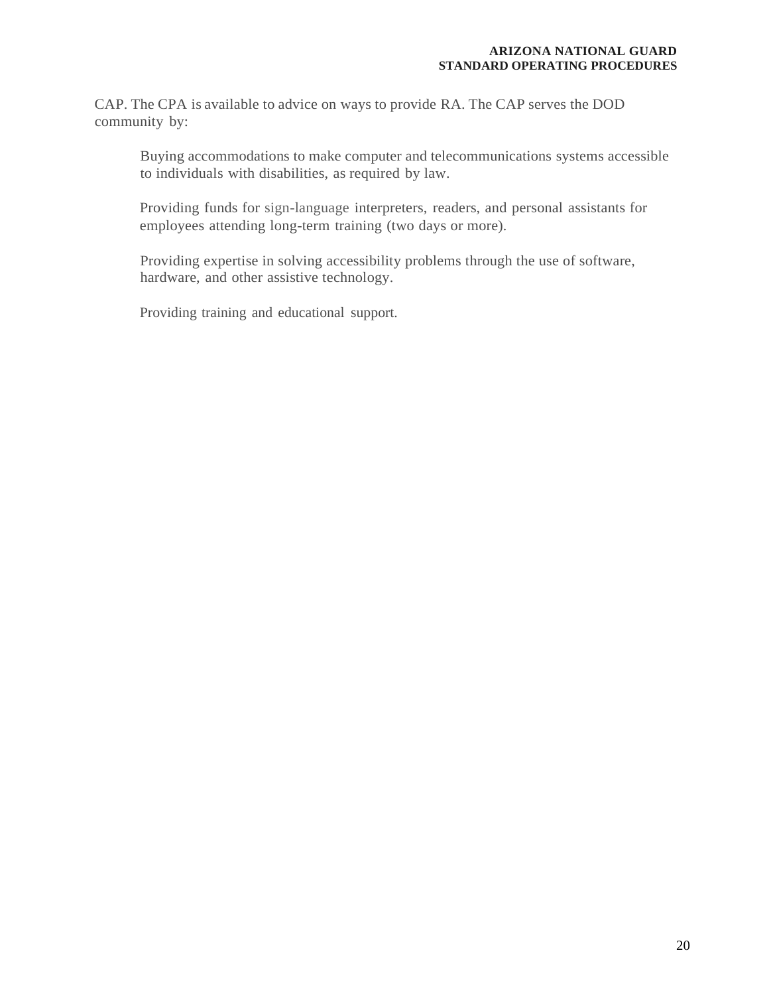CAP. The CPA is available to advice on ways to provide RA. The CAP serves the DOD community by:

Buying accommodations to make computer and telecommunications systems accessible to individuals with disabilities, as required by law.

Providing funds for sign-language interpreters, readers, and personal assistants for employees attending long-term training (two days or more).

Providing expertise in solving accessibility problems through the use of software, hardware, and other assistive technology.

Providing training and educational support.